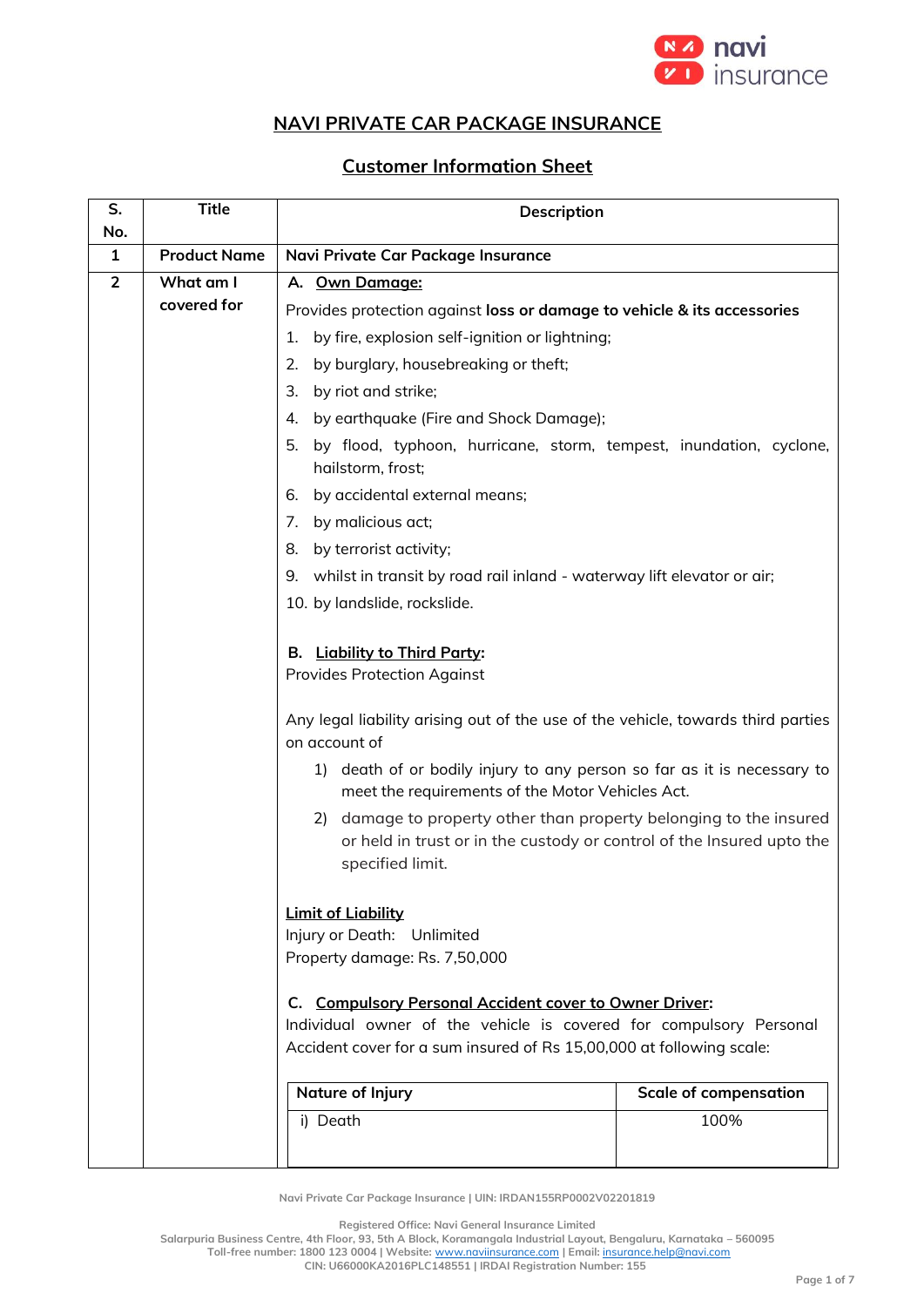

## **NAVI PRIVATE CAR PACKAGE INSURANCE**

## **Customer Information Sheet**

| S.<br>No.      | <b>Title</b>        | Description                                                                                                                                                                                          |                              |  |
|----------------|---------------------|------------------------------------------------------------------------------------------------------------------------------------------------------------------------------------------------------|------------------------------|--|
| 1              | <b>Product Name</b> | Navi Private Car Package Insurance                                                                                                                                                                   |                              |  |
| $\overline{2}$ | What am I           | A. Own Damage:                                                                                                                                                                                       |                              |  |
|                | covered for         | Provides protection against loss or damage to vehicle & its accessories                                                                                                                              |                              |  |
|                |                     | by fire, explosion self-ignition or lightning;<br>1.                                                                                                                                                 |                              |  |
|                |                     | 2.<br>by burglary, housebreaking or theft;                                                                                                                                                           |                              |  |
|                |                     | 3.<br>by riot and strike;                                                                                                                                                                            |                              |  |
|                |                     | by earthquake (Fire and Shock Damage);<br>4.                                                                                                                                                         |                              |  |
|                |                     | 5.<br>by flood, typhoon, hurricane, storm, tempest, inundation, cyclone,<br>hailstorm, frost;                                                                                                        |                              |  |
|                |                     | by accidental external means;<br>6.                                                                                                                                                                  |                              |  |
|                |                     | by malicious act;<br>7.                                                                                                                                                                              |                              |  |
|                |                     | 8.<br>by terrorist activity;                                                                                                                                                                         |                              |  |
|                |                     | 9. whilst in transit by road rail inland - waterway lift elevator or air;                                                                                                                            |                              |  |
|                |                     | 10. by landslide, rockslide.                                                                                                                                                                         |                              |  |
|                |                     | B. Liability to Third Party:<br><b>Provides Protection Against</b>                                                                                                                                   |                              |  |
|                |                     | Any legal liability arising out of the use of the vehicle, towards third parties<br>on account of                                                                                                    |                              |  |
|                |                     | death of or bodily injury to any person so far as it is necessary to<br>1)<br>meet the requirements of the Motor Vehicles Act.                                                                       |                              |  |
|                |                     | 2) damage to property other than property belonging to the insured<br>or held in trust or in the custody or control of the Insured upto the<br>specified limit.                                      |                              |  |
|                |                     | <b>Limit of Liability</b><br>Injury or Death: Unlimited<br>Property damage: Rs. 7,50,000                                                                                                             |                              |  |
|                |                     | C. Compulsory Personal Accident cover to Owner Driver:<br>Individual owner of the vehicle is covered for compulsory Personal<br>Accident cover for a sum insured of Rs 15,00,000 at following scale: |                              |  |
|                |                     | <b>Nature of Injury</b>                                                                                                                                                                              | <b>Scale of compensation</b> |  |
|                |                     | i) Death                                                                                                                                                                                             | 100%                         |  |

**Navi Private Car Package Insurance | UIN: IRDAN155RP0002V02201819**

**Registered Office: Navi General Insurance Limited**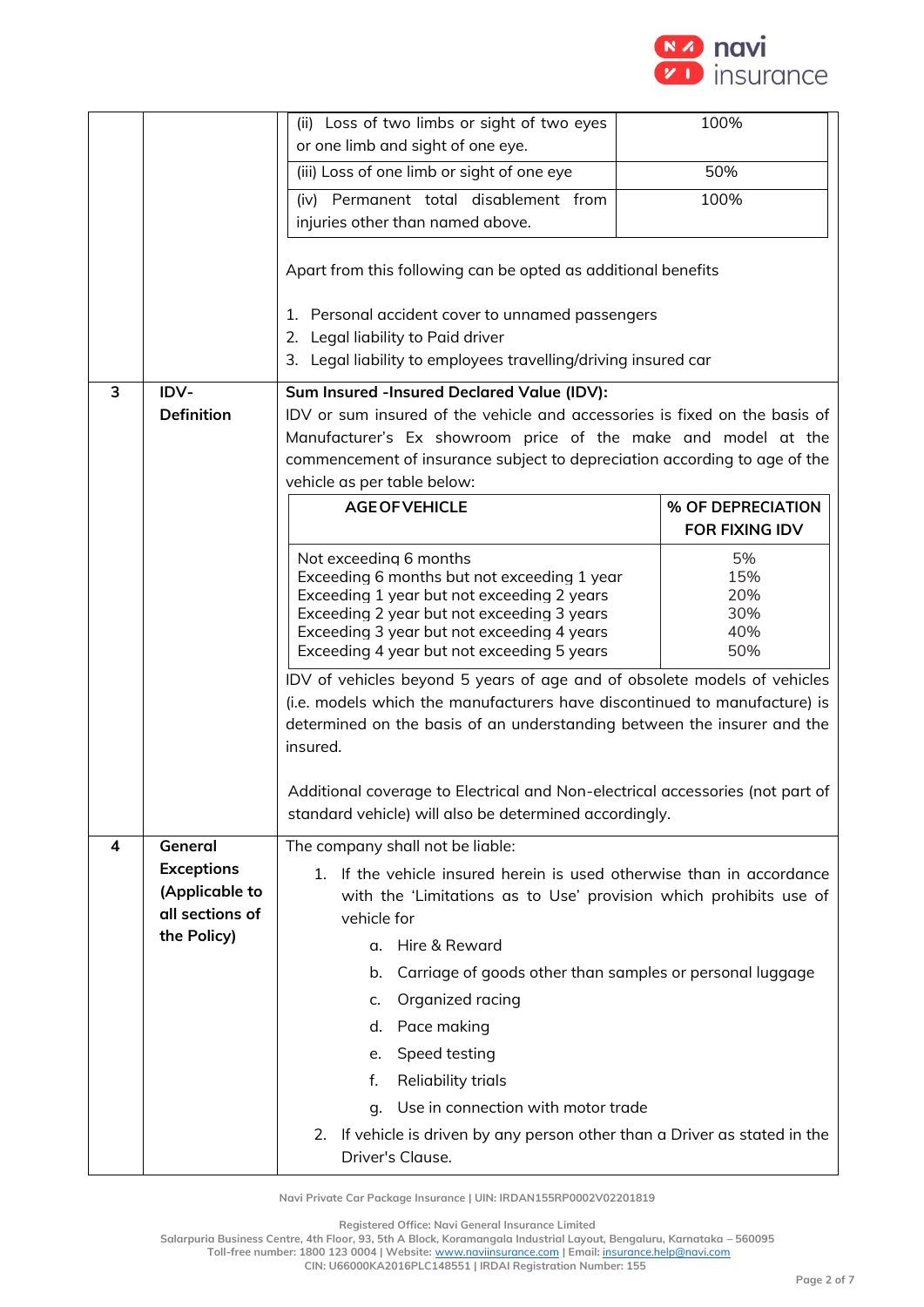

|   |                                                                                                                                                                                                                                                                                           | (ii) Loss of two limbs or sight of two eyes<br>or one limb and sight of one eye.                                                                                                                                                                                                                                                                                                                                                                                                                                                                                                                                                                                                            | 100%                  |  |
|---|-------------------------------------------------------------------------------------------------------------------------------------------------------------------------------------------------------------------------------------------------------------------------------------------|---------------------------------------------------------------------------------------------------------------------------------------------------------------------------------------------------------------------------------------------------------------------------------------------------------------------------------------------------------------------------------------------------------------------------------------------------------------------------------------------------------------------------------------------------------------------------------------------------------------------------------------------------------------------------------------------|-----------------------|--|
|   |                                                                                                                                                                                                                                                                                           | (iii) Loss of one limb or sight of one eye                                                                                                                                                                                                                                                                                                                                                                                                                                                                                                                                                                                                                                                  | 50%                   |  |
|   |                                                                                                                                                                                                                                                                                           | (iv) Permanent total disablement from                                                                                                                                                                                                                                                                                                                                                                                                                                                                                                                                                                                                                                                       | 100%                  |  |
|   |                                                                                                                                                                                                                                                                                           | injuries other than named above.                                                                                                                                                                                                                                                                                                                                                                                                                                                                                                                                                                                                                                                            |                       |  |
|   |                                                                                                                                                                                                                                                                                           | Apart from this following can be opted as additional benefits                                                                                                                                                                                                                                                                                                                                                                                                                                                                                                                                                                                                                               |                       |  |
|   |                                                                                                                                                                                                                                                                                           | 1. Personal accident cover to unnamed passengers<br>2. Legal liability to Paid driver<br>3. Legal liability to employees travelling/driving insured car                                                                                                                                                                                                                                                                                                                                                                                                                                                                                                                                     |                       |  |
| 3 | IDV-                                                                                                                                                                                                                                                                                      | Sum Insured -Insured Declared Value (IDV):                                                                                                                                                                                                                                                                                                                                                                                                                                                                                                                                                                                                                                                  |                       |  |
|   | <b>Definition</b>                                                                                                                                                                                                                                                                         | IDV or sum insured of the vehicle and accessories is fixed on the basis of                                                                                                                                                                                                                                                                                                                                                                                                                                                                                                                                                                                                                  |                       |  |
|   |                                                                                                                                                                                                                                                                                           | Manufacturer's Ex showroom price of the make and model at the                                                                                                                                                                                                                                                                                                                                                                                                                                                                                                                                                                                                                               |                       |  |
|   |                                                                                                                                                                                                                                                                                           | commencement of insurance subject to depreciation according to age of the<br>vehicle as per table below:                                                                                                                                                                                                                                                                                                                                                                                                                                                                                                                                                                                    |                       |  |
|   |                                                                                                                                                                                                                                                                                           | <b>AGE OF VEHICLE</b>                                                                                                                                                                                                                                                                                                                                                                                                                                                                                                                                                                                                                                                                       | % OF DEPRECIATION     |  |
|   |                                                                                                                                                                                                                                                                                           |                                                                                                                                                                                                                                                                                                                                                                                                                                                                                                                                                                                                                                                                                             | <b>FOR FIXING IDV</b> |  |
|   |                                                                                                                                                                                                                                                                                           | Not exceeding 6 months<br>15%<br>Exceeding 6 months but not exceeding 1 year<br>Exceeding 1 year but not exceeding 2 years<br>20%<br>30%<br>Exceeding 2 year but not exceeding 3 years<br>Exceeding 3 year but not exceeding 4 years<br>40%<br>50%<br>Exceeding 4 year but not exceeding 5 years<br>IDV of vehicles beyond 5 years of age and of obsolete models of vehicles<br>(i.e. models which the manufacturers have discontinued to manufacture) is<br>determined on the basis of an understanding between the insurer and the<br>insured.<br>Additional coverage to Electrical and Non-electrical accessories (not part of<br>standard vehicle) will also be determined accordingly. |                       |  |
| 4 | The company shall not be liable:<br>General<br><b>Exceptions</b><br>If the vehicle insured herein is used otherwise than in accordance<br>$1_{-}$<br>(Applicable to<br>with the 'Limitations as to Use' provision which prohibits use of<br>all sections of<br>vehicle for<br>the Policy) |                                                                                                                                                                                                                                                                                                                                                                                                                                                                                                                                                                                                                                                                                             |                       |  |
|   |                                                                                                                                                                                                                                                                                           | Hire & Reward<br>α.                                                                                                                                                                                                                                                                                                                                                                                                                                                                                                                                                                                                                                                                         |                       |  |
|   |                                                                                                                                                                                                                                                                                           | Carriage of goods other than samples or personal luggage<br>b.                                                                                                                                                                                                                                                                                                                                                                                                                                                                                                                                                                                                                              |                       |  |
|   |                                                                                                                                                                                                                                                                                           | Organized racing<br>c.                                                                                                                                                                                                                                                                                                                                                                                                                                                                                                                                                                                                                                                                      |                       |  |
|   |                                                                                                                                                                                                                                                                                           | Pace making<br>d.                                                                                                                                                                                                                                                                                                                                                                                                                                                                                                                                                                                                                                                                           |                       |  |
|   |                                                                                                                                                                                                                                                                                           | Speed testing<br>e.                                                                                                                                                                                                                                                                                                                                                                                                                                                                                                                                                                                                                                                                         |                       |  |
|   |                                                                                                                                                                                                                                                                                           | Reliability trials<br>f.                                                                                                                                                                                                                                                                                                                                                                                                                                                                                                                                                                                                                                                                    |                       |  |
|   |                                                                                                                                                                                                                                                                                           | Use in connection with motor trade<br>q.                                                                                                                                                                                                                                                                                                                                                                                                                                                                                                                                                                                                                                                    |                       |  |
|   |                                                                                                                                                                                                                                                                                           | 2. If vehicle is driven by any person other than a Driver as stated in the<br>Driver's Clause.                                                                                                                                                                                                                                                                                                                                                                                                                                                                                                                                                                                              |                       |  |

**Registered Office: Navi General Insurance Limited**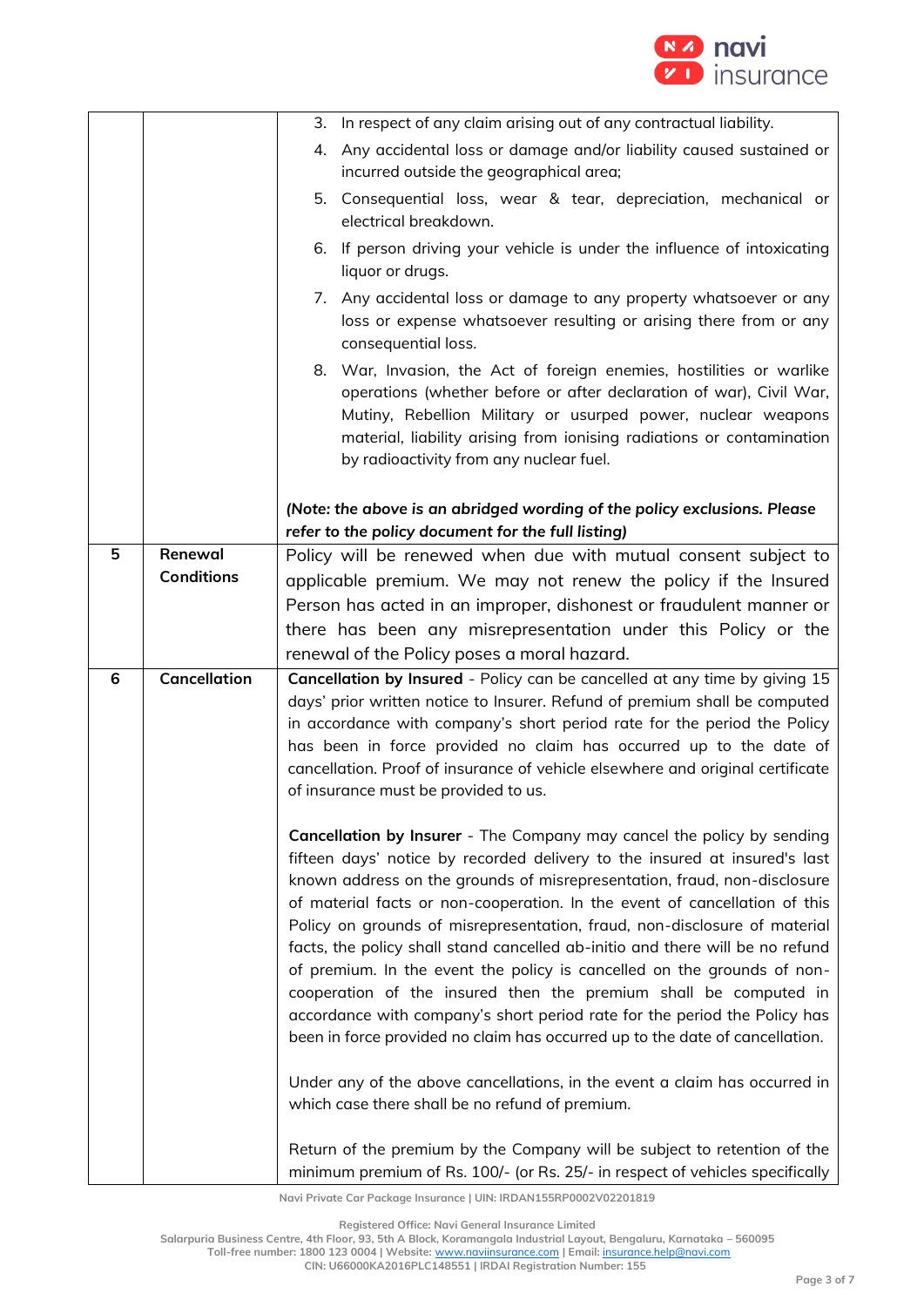

|   |                     | 3. In respect of any claim arising out of any contractual liability.                                                                                                                                                                                                                                                                                                                                                                                                                                                                                                                                                                                                                                                                                                                                                                                                                                                                                                                                  |  |
|---|---------------------|-------------------------------------------------------------------------------------------------------------------------------------------------------------------------------------------------------------------------------------------------------------------------------------------------------------------------------------------------------------------------------------------------------------------------------------------------------------------------------------------------------------------------------------------------------------------------------------------------------------------------------------------------------------------------------------------------------------------------------------------------------------------------------------------------------------------------------------------------------------------------------------------------------------------------------------------------------------------------------------------------------|--|
|   |                     | 4. Any accidental loss or damage and/or liability caused sustained or                                                                                                                                                                                                                                                                                                                                                                                                                                                                                                                                                                                                                                                                                                                                                                                                                                                                                                                                 |  |
|   |                     | incurred outside the geographical area;                                                                                                                                                                                                                                                                                                                                                                                                                                                                                                                                                                                                                                                                                                                                                                                                                                                                                                                                                               |  |
|   |                     | 5. Consequential loss, wear & tear, depreciation, mechanical or<br>electrical breakdown.                                                                                                                                                                                                                                                                                                                                                                                                                                                                                                                                                                                                                                                                                                                                                                                                                                                                                                              |  |
|   |                     | 6. If person driving your vehicle is under the influence of intoxicating<br>liquor or drugs.                                                                                                                                                                                                                                                                                                                                                                                                                                                                                                                                                                                                                                                                                                                                                                                                                                                                                                          |  |
|   |                     | 7. Any accidental loss or damage to any property whatsoever or any<br>loss or expense whatsoever resulting or arising there from or any<br>consequential loss.                                                                                                                                                                                                                                                                                                                                                                                                                                                                                                                                                                                                                                                                                                                                                                                                                                        |  |
|   |                     | 8. War, Invasion, the Act of foreign enemies, hostilities or warlike<br>operations (whether before or after declaration of war), Civil War,<br>Mutiny, Rebellion Military or usurped power, nuclear weapons<br>material, liability arising from ionising radiations or contamination<br>by radioactivity from any nuclear fuel.                                                                                                                                                                                                                                                                                                                                                                                                                                                                                                                                                                                                                                                                       |  |
|   |                     | (Note: the above is an abridged wording of the policy exclusions. Please<br>refer to the policy document for the full listing)                                                                                                                                                                                                                                                                                                                                                                                                                                                                                                                                                                                                                                                                                                                                                                                                                                                                        |  |
| 5 | Renewal             | Policy will be renewed when due with mutual consent subject to                                                                                                                                                                                                                                                                                                                                                                                                                                                                                                                                                                                                                                                                                                                                                                                                                                                                                                                                        |  |
|   | <b>Conditions</b>   | applicable premium. We may not renew the policy if the Insured                                                                                                                                                                                                                                                                                                                                                                                                                                                                                                                                                                                                                                                                                                                                                                                                                                                                                                                                        |  |
|   |                     | Person has acted in an improper, dishonest or fraudulent manner or                                                                                                                                                                                                                                                                                                                                                                                                                                                                                                                                                                                                                                                                                                                                                                                                                                                                                                                                    |  |
|   |                     | there has been any misrepresentation under this Policy or the                                                                                                                                                                                                                                                                                                                                                                                                                                                                                                                                                                                                                                                                                                                                                                                                                                                                                                                                         |  |
|   |                     | renewal of the Policy poses a moral hazard.                                                                                                                                                                                                                                                                                                                                                                                                                                                                                                                                                                                                                                                                                                                                                                                                                                                                                                                                                           |  |
| 6 | <b>Cancellation</b> | Cancellation by Insured - Policy can be cancelled at any time by giving 15<br>days' prior written notice to Insurer. Refund of premium shall be computed<br>in accordance with company's short period rate for the period the Policy<br>has been in force provided no claim has occurred up to the date of<br>cancellation. Proof of insurance of vehicle elsewhere and original certificate<br>of insurance must be provided to us.                                                                                                                                                                                                                                                                                                                                                                                                                                                                                                                                                                  |  |
|   |                     | Cancellation by Insurer - The Company may cancel the policy by sending<br>fifteen days' notice by recorded delivery to the insured at insured's last<br>known address on the grounds of misrepresentation, fraud, non-disclosure<br>of material facts or non-cooperation. In the event of cancellation of this<br>Policy on grounds of misrepresentation, fraud, non-disclosure of material<br>facts, the policy shall stand cancelled ab-initio and there will be no refund<br>of premium. In the event the policy is cancelled on the grounds of non-<br>cooperation of the insured then the premium shall be computed in<br>accordance with company's short period rate for the period the Policy has<br>been in force provided no claim has occurred up to the date of cancellation.<br>Under any of the above cancellations, in the event a claim has occurred in<br>which case there shall be no refund of premium.<br>Return of the premium by the Company will be subject to retention of the |  |
|   |                     | minimum premium of Rs. 100/- (or Rs. 25/- in respect of vehicles specifically                                                                                                                                                                                                                                                                                                                                                                                                                                                                                                                                                                                                                                                                                                                                                                                                                                                                                                                         |  |

**Registered Office: Navi General Insurance Limited**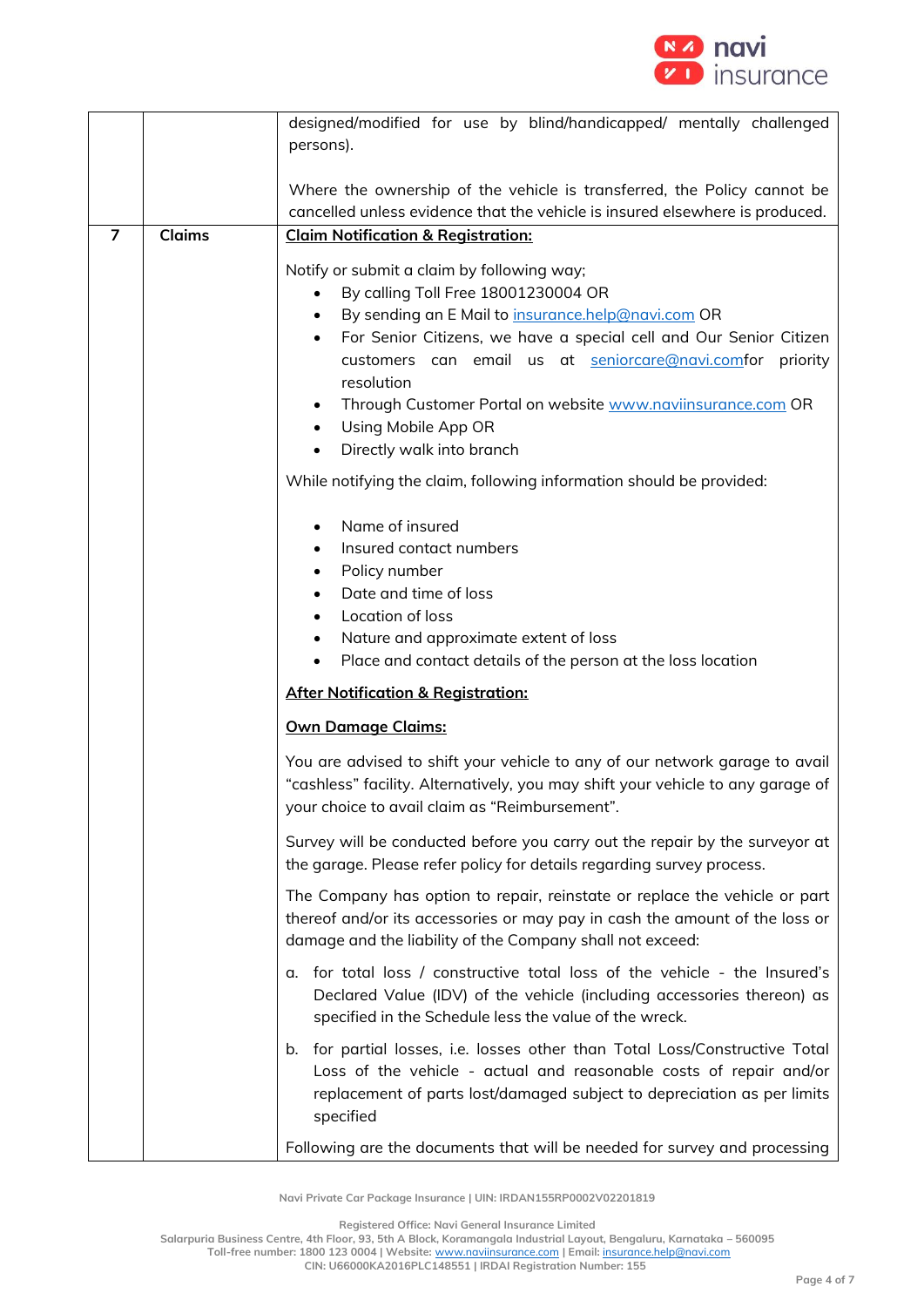

|                |               | designed/modified for use by blind/handicapped/ mentally challenged                                                                                                                                                                       |  |  |
|----------------|---------------|-------------------------------------------------------------------------------------------------------------------------------------------------------------------------------------------------------------------------------------------|--|--|
|                |               | persons).                                                                                                                                                                                                                                 |  |  |
|                |               |                                                                                                                                                                                                                                           |  |  |
|                |               | Where the ownership of the vehicle is transferred, the Policy cannot be                                                                                                                                                                   |  |  |
|                |               | cancelled unless evidence that the vehicle is insured elsewhere is produced.                                                                                                                                                              |  |  |
| $\overline{7}$ | <b>Claims</b> | <b>Claim Notification &amp; Registration:</b>                                                                                                                                                                                             |  |  |
|                |               | Notify or submit a claim by following way;                                                                                                                                                                                                |  |  |
|                |               | By calling Toll Free 18001230004 OR<br>$\bullet$                                                                                                                                                                                          |  |  |
|                |               | By sending an E Mail to insurance.help@navi.com OR<br>$\bullet$                                                                                                                                                                           |  |  |
|                |               | For Senior Citizens, we have a special cell and Our Senior Citizen<br>$\bullet$                                                                                                                                                           |  |  |
|                |               | customers can email us at seniorcare@navi.comfor priority                                                                                                                                                                                 |  |  |
|                |               | resolution                                                                                                                                                                                                                                |  |  |
|                |               | Through Customer Portal on website www.naviinsurance.com OR<br>$\bullet$                                                                                                                                                                  |  |  |
|                |               | Using Mobile App OR<br>$\bullet$                                                                                                                                                                                                          |  |  |
|                |               | Directly walk into branch<br>$\bullet$                                                                                                                                                                                                    |  |  |
|                |               | While notifying the claim, following information should be provided:                                                                                                                                                                      |  |  |
|                |               | Name of insured<br>$\bullet$                                                                                                                                                                                                              |  |  |
|                |               | Insured contact numbers                                                                                                                                                                                                                   |  |  |
|                |               | Policy number                                                                                                                                                                                                                             |  |  |
|                |               | Date and time of loss                                                                                                                                                                                                                     |  |  |
|                |               | Location of loss<br>$\bullet$                                                                                                                                                                                                             |  |  |
|                |               | Nature and approximate extent of loss<br>$\bullet$                                                                                                                                                                                        |  |  |
|                |               | Place and contact details of the person at the loss location                                                                                                                                                                              |  |  |
|                |               | <b>After Notification &amp; Registration:</b>                                                                                                                                                                                             |  |  |
|                |               | <b>Own Damage Claims:</b>                                                                                                                                                                                                                 |  |  |
|                |               | You are advised to shift your vehicle to any of our network garage to avail<br>"cashless" facility. Alternatively, you may shift your vehicle to any garage of                                                                            |  |  |
|                |               | your choice to avail claim as "Reimbursement".                                                                                                                                                                                            |  |  |
|                |               | Survey will be conducted before you carry out the repair by the surveyor at<br>the garage. Please refer policy for details regarding survey process.                                                                                      |  |  |
|                |               | The Company has option to repair, reinstate or replace the vehicle or part<br>thereof and/or its accessories or may pay in cash the amount of the loss or<br>damage and the liability of the Company shall not exceed:                    |  |  |
|                |               | for total loss / constructive total loss of the vehicle - the Insured's<br>α.<br>Declared Value (IDV) of the vehicle (including accessories thereon) as<br>specified in the Schedule less the value of the wreck.                         |  |  |
|                |               | b. for partial losses, i.e. losses other than Total Loss/Constructive Total<br>Loss of the vehicle - actual and reasonable costs of repair and/or<br>replacement of parts lost/damaged subject to depreciation as per limits<br>specified |  |  |
|                |               | Following are the documents that will be needed for survey and processing                                                                                                                                                                 |  |  |

**Registered Office: Navi General Insurance Limited**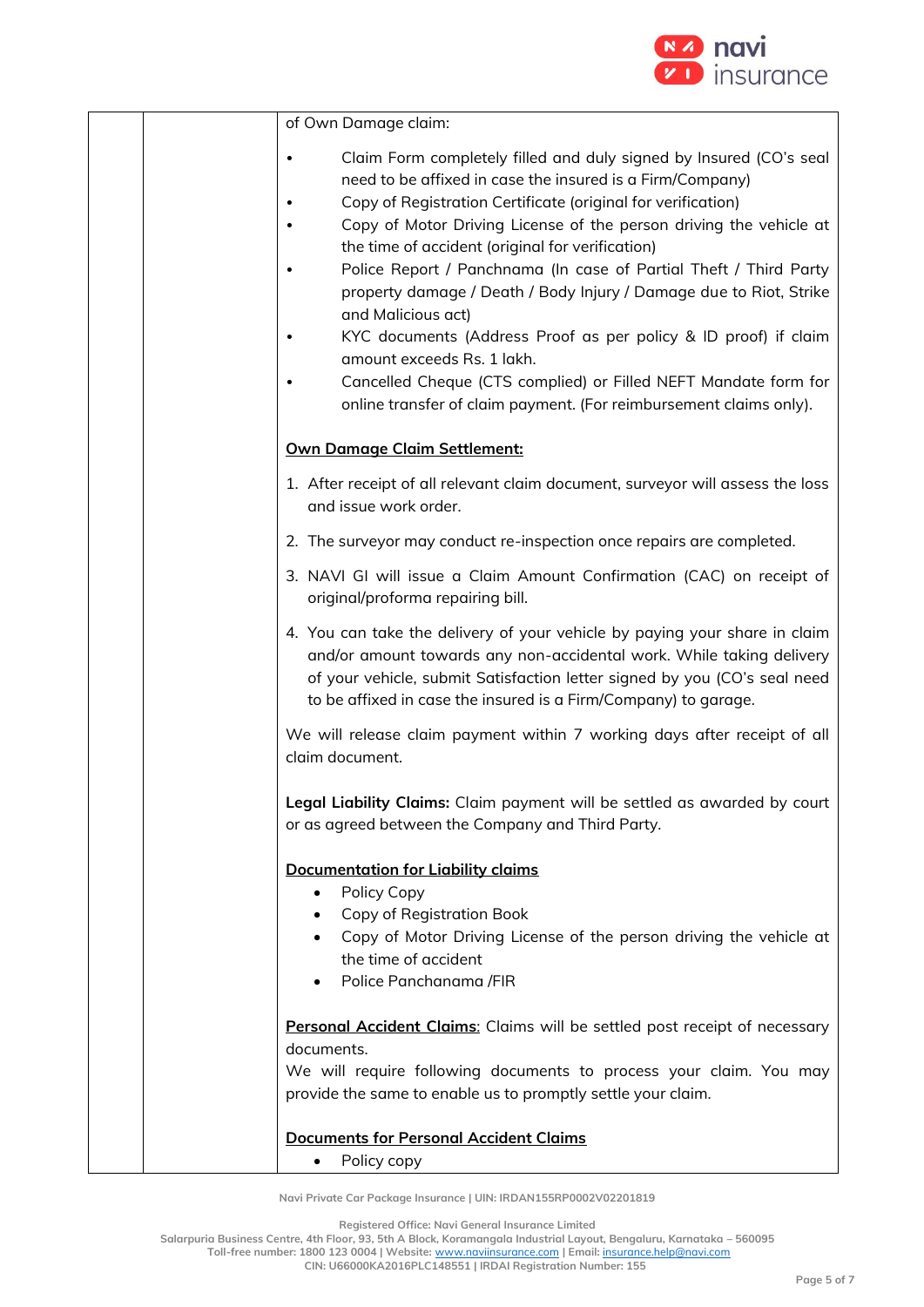

| of Own Damage claim:                                                                                                                                                                                                                                                                                                                                                                                                                                                                                                                                                                                                                                                                                                                 |
|--------------------------------------------------------------------------------------------------------------------------------------------------------------------------------------------------------------------------------------------------------------------------------------------------------------------------------------------------------------------------------------------------------------------------------------------------------------------------------------------------------------------------------------------------------------------------------------------------------------------------------------------------------------------------------------------------------------------------------------|
| Claim Form completely filled and duly signed by Insured (CO's seal<br>need to be affixed in case the insured is a Firm/Company)<br>Copy of Registration Certificate (original for verification)<br>Copy of Motor Driving License of the person driving the vehicle at<br>the time of accident (original for verification)<br>Police Report / Panchnama (In case of Partial Theft / Third Party<br>property damage / Death / Body Injury / Damage due to Riot, Strike<br>and Malicious act)<br>KYC documents (Address Proof as per policy & ID proof) if claim<br>amount exceeds Rs. 1 lakh.<br>Cancelled Cheque (CTS complied) or Filled NEFT Mandate form for<br>online transfer of claim payment. (For reimbursement claims only). |
| <b>Own Damage Claim Settlement:</b>                                                                                                                                                                                                                                                                                                                                                                                                                                                                                                                                                                                                                                                                                                  |
| 1. After receipt of all relevant claim document, surveyor will assess the loss<br>and issue work order.                                                                                                                                                                                                                                                                                                                                                                                                                                                                                                                                                                                                                              |
| 2. The surveyor may conduct re-inspection once repairs are completed.                                                                                                                                                                                                                                                                                                                                                                                                                                                                                                                                                                                                                                                                |
| 3. NAVI GI will issue a Claim Amount Confirmation (CAC) on receipt of<br>original/proforma repairing bill.                                                                                                                                                                                                                                                                                                                                                                                                                                                                                                                                                                                                                           |
| 4. You can take the delivery of your vehicle by paying your share in claim<br>and/or amount towards any non-accidental work. While taking delivery<br>of your vehicle, submit Satisfaction letter signed by you (CO's seal need<br>to be affixed in case the insured is a Firm/Company) to garage.                                                                                                                                                                                                                                                                                                                                                                                                                                   |
| We will release claim payment within 7 working days after receipt of all<br>claim document.                                                                                                                                                                                                                                                                                                                                                                                                                                                                                                                                                                                                                                          |
| Legal Liability Claims: Claim payment will be settled as awarded by court<br>or as agreed between the Company and Third Party.                                                                                                                                                                                                                                                                                                                                                                                                                                                                                                                                                                                                       |
| <b>Documentation for Liability claims</b><br>Policy Copy<br>Copy of Registration Book<br>Copy of Motor Driving License of the person driving the vehicle at<br>the time of accident<br>Police Panchanama /FIR                                                                                                                                                                                                                                                                                                                                                                                                                                                                                                                        |
| Personal Accident Claims: Claims will be settled post receipt of necessary<br>documents.<br>We will require following documents to process your claim. You may<br>provide the same to enable us to promptly settle your claim.                                                                                                                                                                                                                                                                                                                                                                                                                                                                                                       |
| <b>Documents for Personal Accident Claims</b>                                                                                                                                                                                                                                                                                                                                                                                                                                                                                                                                                                                                                                                                                        |

• Policy copy

**Registered Office: Navi General Insurance Limited**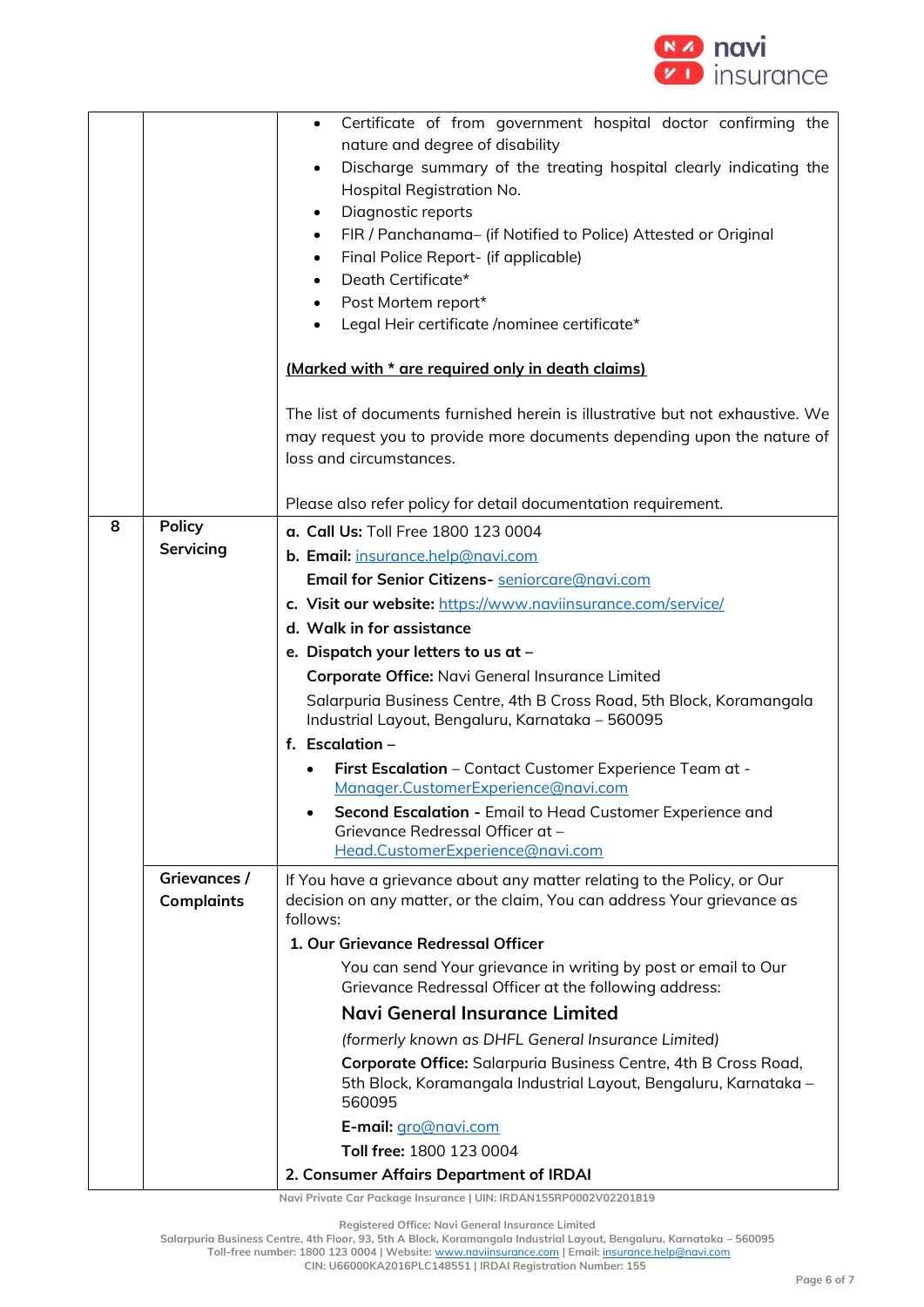

|   |                                                      | Certificate of from government hospital doctor confirming the<br>$\bullet$<br>nature and degree of disability<br>Discharge summary of the treating hospital clearly indicating the<br>$\bullet$<br>Hospital Registration No.<br>Diagnostic reports<br>FIR / Panchanama- (if Notified to Police) Attested or Original<br>$\bullet$<br>Final Police Report- (if applicable)<br>$\bullet$<br>Death Certificate*<br>$\bullet$<br>Post Mortem report* |  |
|---|------------------------------------------------------|--------------------------------------------------------------------------------------------------------------------------------------------------------------------------------------------------------------------------------------------------------------------------------------------------------------------------------------------------------------------------------------------------------------------------------------------------|--|
|   |                                                      | Legal Heir certificate /nominee certificate*                                                                                                                                                                                                                                                                                                                                                                                                     |  |
|   |                                                      | (Marked with * are required only in death claims)                                                                                                                                                                                                                                                                                                                                                                                                |  |
|   |                                                      | The list of documents furnished herein is illustrative but not exhaustive. We<br>may request you to provide more documents depending upon the nature of<br>loss and circumstances.                                                                                                                                                                                                                                                               |  |
|   |                                                      | Please also refer policy for detail documentation requirement.                                                                                                                                                                                                                                                                                                                                                                                   |  |
| 8 | <b>Policy</b><br>a. Call Us: Toll Free 1800 123 0004 |                                                                                                                                                                                                                                                                                                                                                                                                                                                  |  |
|   | Servicing                                            | b. Email: insurance.help@navi.com                                                                                                                                                                                                                                                                                                                                                                                                                |  |
|   |                                                      | Email for Senior Citizens- seniorcare@navi.com                                                                                                                                                                                                                                                                                                                                                                                                   |  |
|   |                                                      | c. Visit our website: https://www.naviinsurance.com/service/                                                                                                                                                                                                                                                                                                                                                                                     |  |
|   |                                                      | d. Walk in for assistance                                                                                                                                                                                                                                                                                                                                                                                                                        |  |
|   |                                                      | e. Dispatch your letters to us at -                                                                                                                                                                                                                                                                                                                                                                                                              |  |
|   |                                                      | Corporate Office: Navi General Insurance Limited                                                                                                                                                                                                                                                                                                                                                                                                 |  |
|   |                                                      | Salarpuria Business Centre, 4th B Cross Road, 5th Block, Koramangala<br>Industrial Layout, Bengaluru, Karnataka - 560095                                                                                                                                                                                                                                                                                                                         |  |
|   |                                                      | f. Escalation $-$                                                                                                                                                                                                                                                                                                                                                                                                                                |  |
|   |                                                      | First Escalation - Contact Customer Experience Team at -<br>Manager.CustomerExperience@navi.com                                                                                                                                                                                                                                                                                                                                                  |  |
|   |                                                      | Second Escalation - Email to Head Customer Experience and                                                                                                                                                                                                                                                                                                                                                                                        |  |
|   |                                                      | Grievance Redressal Officer at -                                                                                                                                                                                                                                                                                                                                                                                                                 |  |
|   |                                                      | Head.CustomerExperience@navi.com                                                                                                                                                                                                                                                                                                                                                                                                                 |  |
|   | Grievances /<br><b>Complaints</b>                    | If You have a grievance about any matter relating to the Policy, or Our<br>decision on any matter, or the claim, You can address Your grievance as<br>follows:                                                                                                                                                                                                                                                                                   |  |
|   |                                                      | 1. Our Grievance Redressal Officer                                                                                                                                                                                                                                                                                                                                                                                                               |  |
|   |                                                      | You can send Your grievance in writing by post or email to Our<br>Grievance Redressal Officer at the following address:                                                                                                                                                                                                                                                                                                                          |  |
|   |                                                      | Navi General Insurance Limited                                                                                                                                                                                                                                                                                                                                                                                                                   |  |
|   |                                                      | (formerly known as DHFL General Insurance Limited)                                                                                                                                                                                                                                                                                                                                                                                               |  |
|   |                                                      | Corporate Office: Salarpuria Business Centre, 4th B Cross Road,<br>5th Block, Koramangala Industrial Layout, Bengaluru, Karnataka -<br>560095                                                                                                                                                                                                                                                                                                    |  |
|   |                                                      | E-mail: gro@navi.com                                                                                                                                                                                                                                                                                                                                                                                                                             |  |
|   |                                                      | Toll free: 1800 123 0004                                                                                                                                                                                                                                                                                                                                                                                                                         |  |
|   |                                                      | 2. Consumer Affairs Department of IRDAI                                                                                                                                                                                                                                                                                                                                                                                                          |  |

**Registered Office: Navi General Insurance Limited**

**Salarpuria Business Centre, 4th Floor, 93, 5th A Block, Koramangala Industrial Layout, Bengaluru, Karnataka – 560095 Toll-free number: 1800 123 0004 | Website:** [www.naviinsurance.com](http://www.naviinsurance.com/) **| Email:** [insurance.help@navi.com](mailto:insurance.help@navi.com)